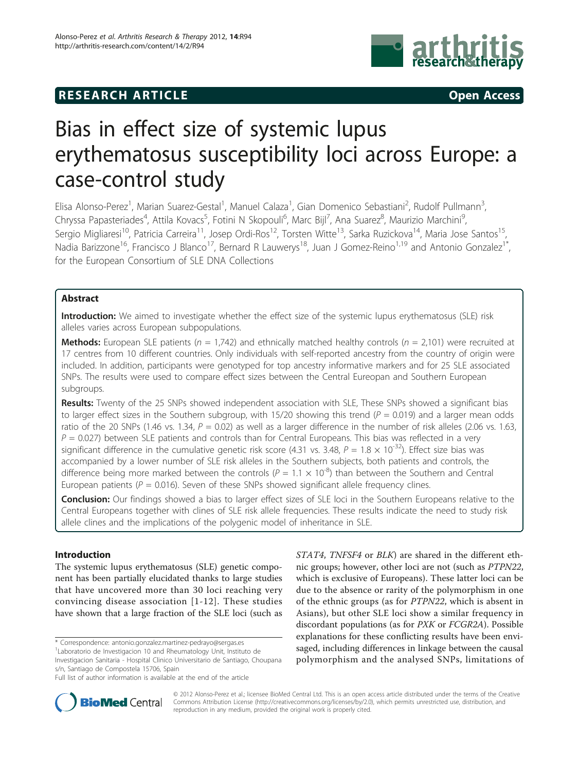# **RESEARCH ARTICLE Example 2014 CONSUMING ACCESS**



# Bias in effect size of systemic lupus erythematosus susceptibility loci across Europe: a case-control study

Elisa Alonso-Perez<sup>1</sup>, Marian Suarez-Gestal<sup>1</sup>, Manuel Calaza<sup>1</sup>, Gian Domenico Sebastiani<sup>2</sup>, Rudolf Pullmann<sup>3</sup> , Chryssa Papasteriades<sup>4</sup>, Attila Kovacs<sup>5</sup>, Fotini N Skopouli<sup>6</sup>, Marc Bijl<sup>7</sup>, Ana Suarez<sup>8</sup>, Maurizio Marchini<sup>s</sup> , Sergio Migliaresi<sup>10</sup>, Patricia Carreira<sup>11</sup>, Josep Ordi-Ros<sup>12</sup>, Torsten Witte<sup>13</sup>, Sarka Ruzickova<sup>14</sup>, Maria Jose Santos<sup>15</sup>, Nadia Barizzone<sup>16</sup>, Francisco J Blanco<sup>17</sup>, Bernard R Lauwerys<sup>18</sup>, Juan J Gomez-Reino<sup>1,19</sup> and Antonio Gonzalez<sup>1\*</sup>, for the European Consortium of SLE DNA Collections

# Abstract

Introduction: We aimed to investigate whether the effect size of the systemic lupus erythematosus (SLE) risk alleles varies across European subpopulations.

**Methods:** European SLE patients ( $n = 1.742$ ) and ethnically matched healthy controls ( $n = 2.101$ ) were recruited at 17 centres from 10 different countries. Only individuals with self-reported ancestry from the country of origin were included. In addition, participants were genotyped for top ancestry informative markers and for 25 SLE associated SNPs. The results were used to compare effect sizes between the Central Eureopan and Southern European subgroups.

Results: Twenty of the 25 SNPs showed independent association with SLE, These SNPs showed a significant bias to larger effect sizes in the Southern subgroup, with 15/20 showing this trend ( $P = 0.019$ ) and a larger mean odds ratio of the 20 SNPs (1.46 vs. 1.34,  $P = 0.02$ ) as well as a larger difference in the number of risk alleles (2.06 vs. 1.63,  $P = 0.027$ ) between SLE patients and controls than for Central Europeans. This bias was reflected in a very significant difference in the cumulative genetic risk score (4.31 vs. 3.48,  $P = 1.8 \times 10^{-32}$ ). Effect size bias was accompanied by a lower number of SLE risk alleles in the Southern subjects, both patients and controls, the difference being more marked between the controls ( $P = 1.1 \times 10^{-8}$ ) than between the Southern and Central European patients ( $P = 0.016$ ). Seven of these SNPs showed significant allele frequency clines.

Conclusion: Our findings showed a bias to larger effect sizes of SLE loci in the Southern Europeans relative to the Central Europeans together with clines of SLE risk allele frequencies. These results indicate the need to study risk allele clines and the implications of the polygenic model of inheritance in SLE.

# Introduction

The systemic lupus erythematosus (SLE) genetic component has been partially elucidated thanks to large studies that have uncovered more than 30 loci reaching very convincing disease association [[1](#page-10-0)-[12\]](#page-11-0). These studies have shown that a large fraction of the SLE loci (such as

\* Correspondence: [antonio.gonzalez.martinez-pedrayo@sergas.es](mailto:antonio.gonzalez.martinez-pedrayo@sergas.es)

1 Laboratorio de Investigacion 10 and Rheumatology Unit, Instituto de

Investigacion Sanitaria - Hospital Clinico Universitario de Santiago, Choupana s/n, Santiago de Compostela 15706, Spain

STAT4, TNFSF4 or BLK) are shared in the different ethnic groups; however, other loci are not (such as PTPN22, which is exclusive of Europeans). These latter loci can be due to the absence or rarity of the polymorphism in one of the ethnic groups (as for PTPN22, which is absent in Asians), but other SLE loci show a similar frequency in discordant populations (as for PXK or FCGR2A). Possible explanations for these conflicting results have been envisaged, including differences in linkage between the causal polymorphism and the analysed SNPs, limitations of



© 2012 Alonso-Perez et al.; licensee BioMed Central Ltd. This is an open access article distributed under the terms of the Creative Commons Attribution License [\(http://creativecommons.org/licenses/by/2.0](http://creativecommons.org/licenses/by/2.0)), which permits unrestricted use, distribution, and reproduction in any medium, provided the original work is properly cited.

Full list of author information is available at the end of the article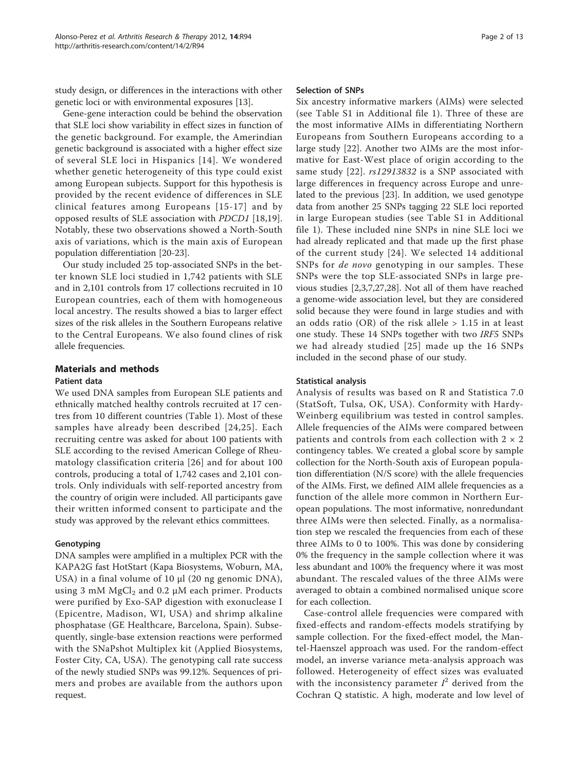study design, or differences in the interactions with other genetic loci or with environmental exposures [\[13](#page-11-0)].

Gene-gene interaction could be behind the observation that SLE loci show variability in effect sizes in function of the genetic background. For example, the Amerindian genetic background is associated with a higher effect size of several SLE loci in Hispanics [[14\]](#page-11-0). We wondered whether genetic heterogeneity of this type could exist among European subjects. Support for this hypothesis is provided by the recent evidence of differences in SLE clinical features among Europeans [[15](#page-11-0)-[17\]](#page-11-0) and by opposed results of SLE association with PDCD1 [[18,19](#page-11-0)]. Notably, these two observations showed a North-South axis of variations, which is the main axis of European population differentiation [[20](#page-11-0)-[23\]](#page-11-0).

Our study included 25 top-associated SNPs in the better known SLE loci studied in 1,742 patients with SLE and in 2,101 controls from 17 collections recruited in 10 European countries, each of them with homogeneous local ancestry. The results showed a bias to larger effect sizes of the risk alleles in the Southern Europeans relative to the Central Europeans. We also found clines of risk allele frequencies.

# Materials and methods

## Patient data

We used DNA samples from European SLE patients and ethnically matched healthy controls recruited at 17 centres from 10 different countries (Table [1](#page-2-0)). Most of these samples have already been described [[24,25\]](#page-11-0). Each recruiting centre was asked for about 100 patients with SLE according to the revised American College of Rheumatology classification criteria [[26\]](#page-11-0) and for about 100 controls, producing a total of 1,742 cases and 2,101 controls. Only individuals with self-reported ancestry from the country of origin were included. All participants gave their written informed consent to participate and the study was approved by the relevant ethics committees.

# Genotyping

DNA samples were amplified in a multiplex PCR with the KAPA2G fast HotStart (Kapa Biosystems, Woburn, MA, USA) in a final volume of 10 μl (20 ng genomic DNA), using 3 mM  $MgCl<sub>2</sub>$  and 0.2 µM each primer. Products were purified by Exo-SAP digestion with exonuclease I (Epicentre, Madison, WI, USA) and shrimp alkaline phosphatase (GE Healthcare, Barcelona, Spain). Subsequently, single-base extension reactions were performed with the SNaPshot Multiplex kit (Applied Biosystems, Foster City, CA, USA). The genotyping call rate success of the newly studied SNPs was 99.12%. Sequences of primers and probes are available from the authors upon request.

#### Selection of SNPs

Six ancestry informative markers (AIMs) were selected (see Table S1 in Additional file [1\)](#page-9-0). Three of these are the most informative AIMs in differentiating Northern Europeans from Southern Europeans according to a large study [[22\]](#page-11-0). Another two AIMs are the most informative for East-West place of origin according to the same study [[22](#page-11-0)].  $rs12913832$  is a SNP associated with large differences in frequency across Europe and unrelated to the previous [\[23\]](#page-11-0). In addition, we used genotype data from another 25 SNPs tagging 22 SLE loci reported in large European studies (see Table S1 in Additional file [1\)](#page-9-0). These included nine SNPs in nine SLE loci we had already replicated and that made up the first phase of the current study [[24\]](#page-11-0). We selected 14 additional SNPs for *de novo* genotyping in our samples. These SNPs were the top SLE-associated SNPs in large previous studies [\[2](#page-10-0),[3,7,](#page-10-0)[27,28\]](#page-11-0). Not all of them have reached a genome-wide association level, but they are considered solid because they were found in large studies and with an odds ratio (OR) of the risk allele  $> 1.15$  in at least one study. These 14 SNPs together with two IRF5 SNPs we had already studied [[25\]](#page-11-0) made up the 16 SNPs included in the second phase of our study.

#### Statistical analysis

Analysis of results was based on R and Statistica 7.0 (StatSoft, Tulsa, OK, USA). Conformity with Hardy-Weinberg equilibrium was tested in control samples. Allele frequencies of the AIMs were compared between patients and controls from each collection with  $2 \times 2$ contingency tables. We created a global score by sample collection for the North-South axis of European population differentiation (N/S score) with the allele frequencies of the AIMs. First, we defined AIM allele frequencies as a function of the allele more common in Northern European populations. The most informative, nonredundant three AIMs were then selected. Finally, as a normalisation step we rescaled the frequencies from each of these three AIMs to 0 to 100%. This was done by considering 0% the frequency in the sample collection where it was less abundant and 100% the frequency where it was most abundant. The rescaled values of the three AIMs were averaged to obtain a combined normalised unique score for each collection.

Case-control allele frequencies were compared with fixed-effects and random-effects models stratifying by sample collection. For the fixed-effect model, the Mantel-Haenszel approach was used. For the random-effect model, an inverse variance meta-analysis approach was followed. Heterogeneity of effect sizes was evaluated with the inconsistency parameter  $I^2$  derived from the Cochran Q statistic. A high, moderate and low level of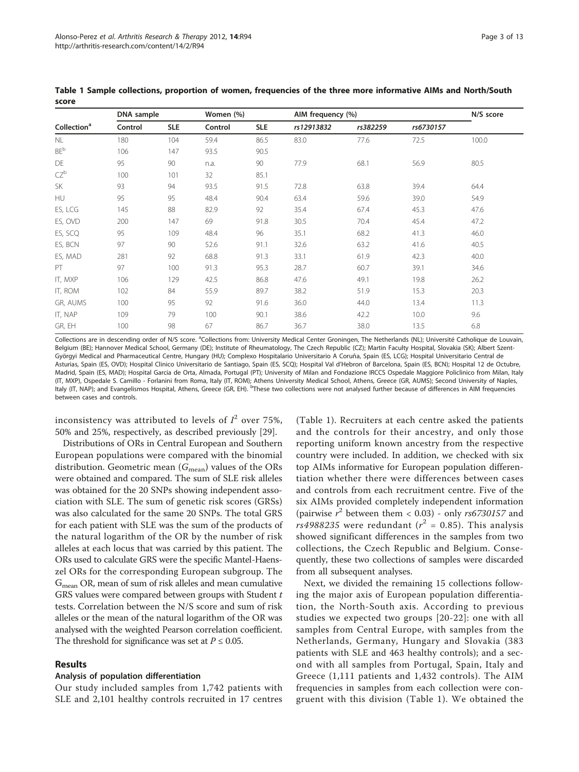| Collection <sup>a</sup> | DNA sample |            | Women (%) |            | AIM frequency (%) |          |           | N/S score |
|-------------------------|------------|------------|-----------|------------|-------------------|----------|-----------|-----------|
|                         | Control    | <b>SLE</b> | Control   | <b>SLE</b> | rs12913832        | rs382259 | rs6730157 |           |
| <b>NL</b>               | 180        | 104        | 59.4      | 86.5       | 83.0              | 77.6     | 72.5      | 100.0     |
| <b>BE</b> b             | 106        | 147        | 93.5      | 90.5       |                   |          |           |           |
| DE                      | 95         | 90         | n.a.      | 90         | 77.9              | 68.1     | 56.9      | 80.5      |
| $CZ^b$                  | 100        | 101        | 32        | 85.1       |                   |          |           |           |
| SK                      | 93         | 94         | 93.5      | 91.5       | 72.8              | 63.8     | 39.4      | 64.4      |
| <b>HU</b>               | 95         | 95         | 48.4      | 90.4       | 63.4              | 59.6     | 39.0      | 54.9      |
| ES, LCG                 | 145        | 88         | 82.9      | 92         | 35.4              | 67.4     | 45.3      | 47.6      |
| ES, OVD                 | 200        | 147        | 69        | 91.8       | 30.5              | 70.4     | 45.4      | 47.2      |
| ES, SCQ                 | 95         | 109        | 48.4      | 96         | 35.1              | 68.2     | 41.3      | 46.0      |
| ES, BCN                 | 97         | 90         | 52.6      | 91.1       | 32.6              | 63.2     | 41.6      | 40.5      |
| ES, MAD                 | 281        | 92         | 68.8      | 91.3       | 33.1              | 61.9     | 42.3      | 40.0      |
| PT                      | 97         | 100        | 91.3      | 95.3       | 28.7              | 60.7     | 39.1      | 34.6      |
| IT, MXP                 | 106        | 129        | 42.5      | 86.8       | 47.6              | 49.1     | 19.8      | 26.2      |
| IT, ROM                 | 102        | 84         | 55.9      | 89.7       | 38.2              | 51.9     | 15.3      | 20.3      |
| GR, AUMS                | 100        | 95         | 92        | 91.6       | 36.0              | 44.0     | 13.4      | 11.3      |
| IT, NAP                 | 109        | 79         | 100       | 90.1       | 38.6              | 42.2     | 10.0      | 9.6       |
| GR, EH                  | 100        | 98         | 67        | 86.7       | 36.7              | 38.0     | 13.5      | 6.8       |

<span id="page-2-0"></span>Table 1 Sample collections, proportion of women, frequencies of the three more informative AIMs and North/South score

Collections are in descending order of N/S score. <sup>a</sup>Collections from: University Medical Center Groningen, The Netherlands (NL); Université Catholique de Louvain, Belgium (BE); Hannover Medical School, Germany (DE); Institute of Rheumatology, The Czech Republic (CZ); Martin Faculty Hospital, Slovakia (SK); Albert Szent-Györgyi Medical and Pharmaceutical Centre, Hungary (HU); Complexo Hospitalario Universitario A Coruña, Spain (ES, LCG); Hospital Universitario Central de Asturias, Spain (ES, OVD); Hospital Clinico Universitario de Santiago, Spain (ES, SCQ); Hospital Val d'Hebron of Barcelona, Spain (ES, BCN); Hospital 12 de Octubre, Madrid, Spain (ES, MAD); Hospital Garcia de Orta, Almada, Portugal (PT); University of Milan and Fondazione IRCCS Ospedale Maggiore Policlinico from Milan, Italy (IT, MXP), Ospedale S. Camillo - Forlanini from Roma, Italy (IT, ROM); Athens University Medical School, Athens, Greece (GR, AUMS); Second University of Naples, Italy (IT, NAP); and Evangelismos Hospital, Athens, Greece (GR, EH). <sup>b</sup>These two collections were not analysed further because of differences in AIM frequencies between cases and controls.

inconsistency was attributed to levels of  $I^2$  over 75%, 50% and 25%, respectively, as described previously [\[29\]](#page-11-0).

Distributions of ORs in Central European and Southern European populations were compared with the binomial distribution. Geometric mean  $(G_{mean})$  values of the ORs were obtained and compared. The sum of SLE risk alleles was obtained for the 20 SNPs showing independent association with SLE. The sum of genetic risk scores (GRSs) was also calculated for the same 20 SNPs. The total GRS for each patient with SLE was the sum of the products of the natural logarithm of the OR by the number of risk alleles at each locus that was carried by this patient. The ORs used to calculate GRS were the specific Mantel-Haenszel ORs for the corresponding European subgroup. The  $G_{\text{mean}}$  OR, mean of sum of risk alleles and mean cumulative GRS values were compared between groups with Student t tests. Correlation between the N/S score and sum of risk alleles or the mean of the natural logarithm of the OR was analysed with the weighted Pearson correlation coefficient. The threshold for significance was set at  $P \leq 0.05$ .

# Results

#### Analysis of population differentiation

Our study included samples from 1,742 patients with SLE and 2,101 healthy controls recruited in 17 centres (Table 1). Recruiters at each centre asked the patients and the controls for their ancestry, and only those reporting uniform known ancestry from the respective country were included. In addition, we checked with six top AIMs informative for European population differentiation whether there were differences between cases and controls from each recruitment centre. Five of the six AIMs provided completely independent information (pairwise  $r^2$  between them < 0.03) - only  $rs6730157$  and rs4988235 were redundant ( $r^2 = 0.85$ ). This analysis showed significant differences in the samples from two collections, the Czech Republic and Belgium. Consequently, these two collections of samples were discarded from all subsequent analyses.

Next, we divided the remaining 15 collections following the major axis of European population differentiation, the North-South axis. According to previous studies we expected two groups [[20-22\]](#page-11-0): one with all samples from Central Europe, with samples from the Netherlands, Germany, Hungary and Slovakia (383 patients with SLE and 463 healthy controls); and a second with all samples from Portugal, Spain, Italy and Greece (1,111 patients and 1,432 controls). The AIM frequencies in samples from each collection were congruent with this division (Table 1). We obtained the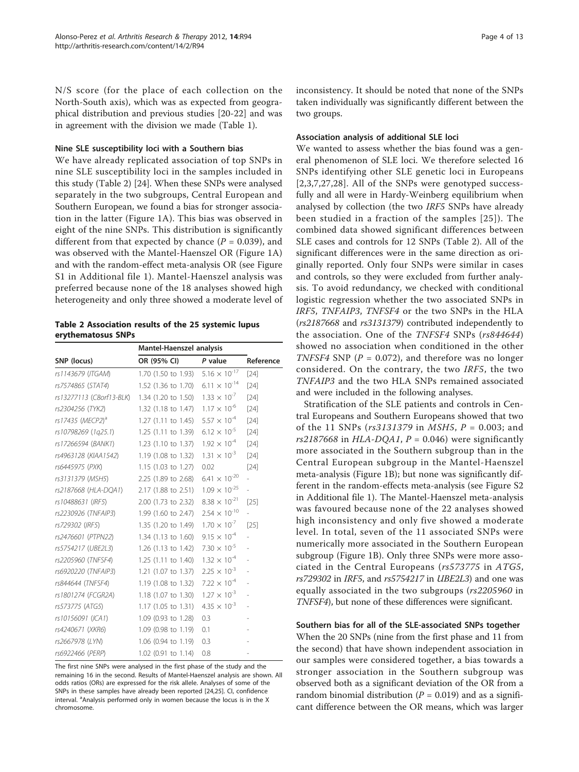N/S score (for the place of each collection on the North-South axis), which was as expected from geographical distribution and previous studies [\[20](#page-11-0)-[22\]](#page-11-0) and was in agreement with the division we made (Table [1](#page-2-0)).

#### Nine SLE susceptibility loci with a Southern bias

We have already replicated association of top SNPs in nine SLE susceptibility loci in the samples included in this study (Table 2) [\[24\]](#page-11-0). When these SNPs were analysed separately in the two subgroups, Central European and Southern European, we found a bias for stronger association in the latter (Figure [1A](#page-4-0)). This bias was observed in eight of the nine SNPs. This distribution is significantly different from that expected by chance  $(P = 0.039)$ , and was observed with the Mantel-Haenszel OR (Figure [1A](#page-4-0)) and with the random-effect meta-analysis OR (see Figure S1 in Additional file [1\)](#page-9-0). Mantel-Haenszel analysis was preferred because none of the 18 analyses showed high heterogeneity and only three showed a moderate level of

#### Table 2 Association results of the 25 systemic lupus erythematosus SNPs

|                              | <b>Mantel-Haenszel analysis</b>           |                        |                          |  |  |
|------------------------------|-------------------------------------------|------------------------|--------------------------|--|--|
| SNP (locus)                  | OR (95% CI)                               | P value                | Reference                |  |  |
| rs1143679 (ITGAM)            | 1.70 (1.50 to 1.93)                       | $5.16 \times 10^{-17}$ | $[24]$                   |  |  |
| rs7574865 (STAT4)            | 1.52 (1.36 to 1.70)                       | $6.11 \times 10^{-14}$ | $[24]$                   |  |  |
| rs13277113 (C8orf13-BLK)     | 1.34 (1.20 to 1.50)                       | $1.33 \times 10^{-7}$  | $[24]$                   |  |  |
| rs2304256 (TYK2)             | 1.32 (1.18 to 1.47) $1.17 \times 10^{-6}$ |                        | $[24]$                   |  |  |
| rs17435 (MECP2) <sup>a</sup> | $1.27$ (1.11 to 1.45)                     | $5.57 \times 10^{-4}$  | $[24]$                   |  |  |
| rs10798269 (1g25.1)          | $1.25$ (1.11 to 1.39)                     | $6.12 \times 10^{-5}$  | $[24]$                   |  |  |
| rs17266594 (BANK1)           | 1.23 (1.10 to 1.37)                       | $1.92 \times 10^{-4}$  | $[24]$                   |  |  |
| rs4963128 (KIAA1542)         | 1.19 (1.08 to 1.32) $1.31 \times 10^{-3}$ |                        | $[24]$                   |  |  |
| rs6445975 (PXK)              | 1.15 (1.03 to 1.27)                       | 0.02                   | $[24]$                   |  |  |
| rs3131379 (MSH5)             | 2.25 (1.89 to 2.68)                       | $6.41 \times 10^{-20}$ | $\overline{\phantom{0}}$ |  |  |
| rs2187668 (HLA-DQA1)         | 2.17 (1.88 to 2.51)                       | $1.09 \times 10^{-25}$ | $\overline{a}$           |  |  |
| rs10488631 (IRF5)            | 2.00 (1.73 to 2.32)                       | $8.38 \times 10^{-21}$ | $[25]$                   |  |  |
| rs2230926 (TNFAIP3)          | 1.99 (1.60 to 2.47)                       | $2.54 \times 10^{-10}$ | $\frac{1}{2}$            |  |  |
| rs729302 (IRF5)              | 1.35 (1.20 to 1.49)                       | $1.70 \times 10^{-7}$  | $[25]$                   |  |  |
| rs2476601 (PTPN22)           | 1.34 (1.13 to 1.60)                       | $9.15 \times 10^{-4}$  | $\frac{1}{2}$            |  |  |
| rs5754217 (UBE2L3)           | $1.26$ (1.13 to 1.42)                     | $7.30 \times 10^{-5}$  | $\overline{a}$           |  |  |
| rs2205960 (TNFSF4)           | 1.25 (1.11 to 1.40)                       | $1.32 \times 10^{-4}$  | $\overline{a}$           |  |  |
| rs6920220 (TNFAIP3)          | 1.21 (1.07 to 1.37)                       | $2.25 \times 10^{-3}$  | i,                       |  |  |
| rs844644 (TNFSF4)            | 1.19 (1.08 to 1.32)                       | $7.22 \times 10^{-4}$  | i,                       |  |  |
| rs1801274 (FCGR2A)           | 1.18 (1.07 to 1.30)                       | $1.27 \times 10^{-3}$  | $\overline{a}$           |  |  |
| rs573775 (ATG5)              | 1.17 (1.05 to 1.31)                       | $4.35 \times 10^{-3}$  | $\overline{\phantom{0}}$ |  |  |
| rs10156091 (ICA1)            | 1.09 (0.93 to 1.28)                       | 0.3                    |                          |  |  |
| rs4240671 (XKR6)             | 1.09 (0.98 to 1.19)                       | 0.1                    |                          |  |  |
| rs2667978 (LYN)              | 1.06 (0.94 to 1.19)                       | 0.3                    |                          |  |  |
| rs6922466 (PERP)             | 1.02 (0.91 to 1.14)                       | 0.8                    |                          |  |  |

The first nine SNPs were analysed in the first phase of the study and the remaining 16 in the second. Results of Mantel-Haenszel analysis are shown. All odds ratios (ORs) are expressed for the risk allele. Analyses of some of the SNPs in these samples have already been reported [\[24,25](#page-11-0)]. CI, confidence interval. <sup>a</sup>Analysis performed only in women because the locus is in the X chromosome.

inconsistency. It should be noted that none of the SNPs taken individually was significantly different between the two groups.

#### Association analysis of additional SLE loci

We wanted to assess whether the bias found was a general phenomenon of SLE loci. We therefore selected 16 SNPs identifying other SLE genetic loci in Europeans [[2,3,7](#page-10-0)[,27,28](#page-11-0)]. All of the SNPs were genotyped successfully and all were in Hardy-Weinberg equilibrium when analysed by collection (the two IRF5 SNPs have already been studied in a fraction of the samples [[25](#page-11-0)]). The combined data showed significant differences between SLE cases and controls for 12 SNPs (Table 2). All of the significant differences were in the same direction as originally reported. Only four SNPs were similar in cases and controls, so they were excluded from further analysis. To avoid redundancy, we checked with conditional logistic regression whether the two associated SNPs in IRF5, TNFAIP3, TNFSF4 or the two SNPs in the HLA (rs2187668 and rs3131379) contributed independently to the association. One of the TNFSF4 SNPs (rs844644) showed no association when conditioned in the other TNFSF4 SNP ( $P = 0.072$ ), and therefore was no longer considered. On the contrary, the two IRF5, the two TNFAIP3 and the two HLA SNPs remained associated and were included in the following analyses.

Stratification of the SLE patients and controls in Central Europeans and Southern Europeans showed that two of the 11 SNPs ( $rs3131379$  in *MSH5*,  $P = 0.003$ ; and  $rs2187668$  in HLA-DQA1,  $P = 0.046$ ) were significantly more associated in the Southern subgroup than in the Central European subgroup in the Mantel-Haenszel meta-analysis (Figure [1B\)](#page-4-0); but none was significantly different in the random-effects meta-analysis (see Figure S2 in Additional file [1\)](#page-9-0). The Mantel-Haenszel meta-analysis was favoured because none of the 22 analyses showed high inconsistency and only five showed a moderate level. In total, seven of the 11 associated SNPs were numerically more associated in the Southern European subgroup (Figure [1B\)](#page-4-0). Only three SNPs were more associated in the Central Europeans (rs573775 in ATG5, rs729302 in IRF5, and rs5754217 in UBE2L3) and one was equally associated in the two subgroups (rs2205960 in TNFSF4), but none of these differences were significant.

Southern bias for all of the SLE-associated SNPs together When the 20 SNPs (nine from the first phase and 11 from the second) that have shown independent association in our samples were considered together, a bias towards a stronger association in the Southern subgroup was observed both as a significant deviation of the OR from a random binomial distribution ( $P = 0.019$ ) and as a significant difference between the OR means, which was larger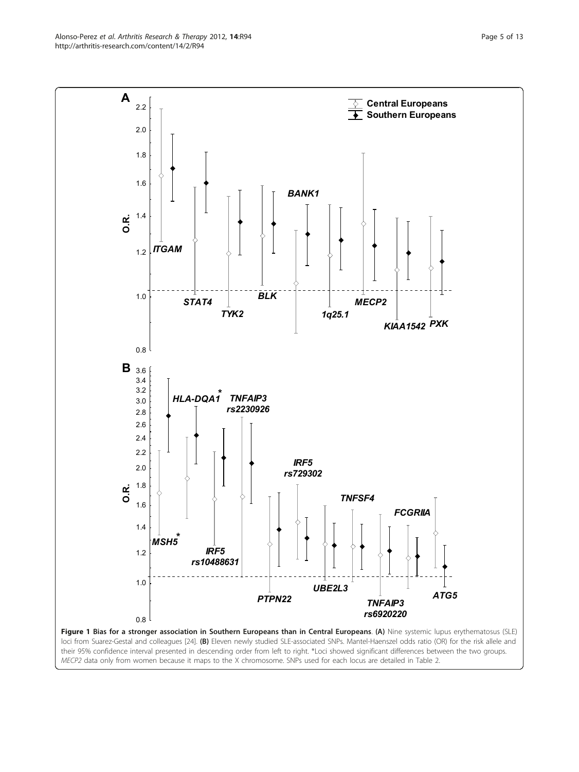<span id="page-4-0"></span>Alonso-Perez et al. Arthritis Research & Therapy 2012, 14:R94 http://arthritis-research.com/content/14/2/R94



MECP2 data only from women because it maps to the X chromosome. SNPs used for each locus are detailed in Table 2.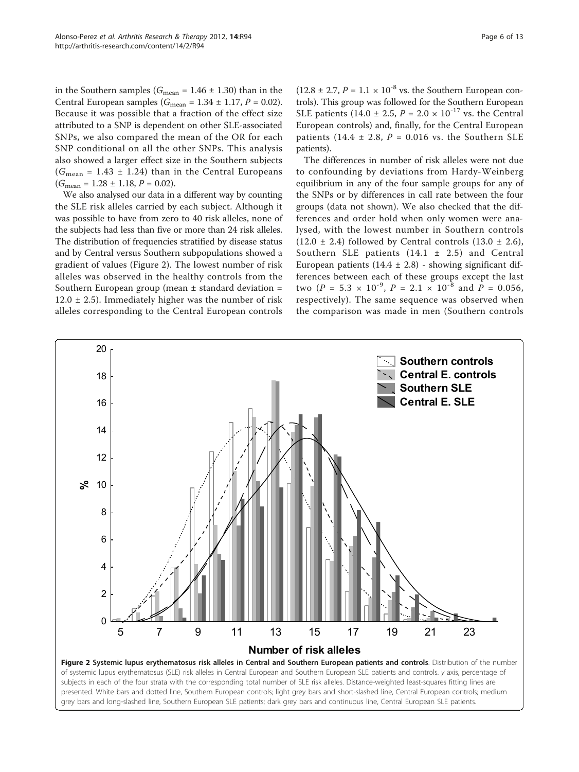in the Southern samples ( $G_{\text{mean}} = 1.46 \pm 1.30$ ) than in the Central European samples ( $G_{\text{mean}} = 1.34 \pm 1.17$ ,  $P = 0.02$ ). Because it was possible that a fraction of the effect size attributed to a SNP is dependent on other SLE-associated SNPs, we also compared the mean of the OR for each SNP conditional on all the other SNPs. This analysis also showed a larger effect size in the Southern subjects  $(G_{mean} = 1.43 \pm 1.24)$  than in the Central Europeans  $(G_{\text{mean}} = 1.28 \pm 1.18, P = 0.02).$ 

We also analysed our data in a different way by counting the SLE risk alleles carried by each subject. Although it was possible to have from zero to 40 risk alleles, none of the subjects had less than five or more than 24 risk alleles. The distribution of frequencies stratified by disease status and by Central versus Southern subpopulations showed a gradient of values (Figure 2). The lowest number of risk alleles was observed in the healthy controls from the Southern European group (mean  $\pm$  standard deviation =  $12.0 \pm 2.5$ ). Immediately higher was the number of risk alleles corresponding to the Central European controls

 $(12.8 \pm 2.7, P = 1.1 \times 10^{-8} \text{ vs. the Southern European con-}$ trols). This group was followed for the Southern European SLE patients (14.0 ± 2.5,  $P = 2.0 \times 10^{-17}$  vs. the Central European controls) and, finally, for the Central European patients (14.4  $\pm$  2.8, P = 0.016 vs. the Southern SLE patients).

The differences in number of risk alleles were not due to confounding by deviations from Hardy-Weinberg equilibrium in any of the four sample groups for any of the SNPs or by differences in call rate between the four groups (data not shown). We also checked that the differences and order hold when only women were analysed, with the lowest number in Southern controls  $(12.0 \pm 2.4)$  followed by Central controls  $(13.0 \pm 2.6)$ , Southern SLE patients  $(14.1 \pm 2.5)$  and Central European patients  $(14.4 \pm 2.8)$  - showing significant differences between each of these groups except the last two ( $P = 5.3 \times 10^{-9}$ ,  $P = 2.1 \times 10^{-8}$  and  $P = 0.056$ , respectively). The same sequence was observed when the comparison was made in men (Southern controls



of systemic lupus erythematosus (SLE) risk alleles in Central European and Southern European SLE patients and controls. y axis, percentage of subjects in each of the four strata with the corresponding total number of SLE risk alleles. Distance-weighted least-squares fitting lines are presented. White bars and dotted line, Southern European controls; light grey bars and short-slashed line, Central European controls; medium grey bars and long-slashed line, Southern European SLE patients; dark grey bars and continuous line, Central European SLE patients.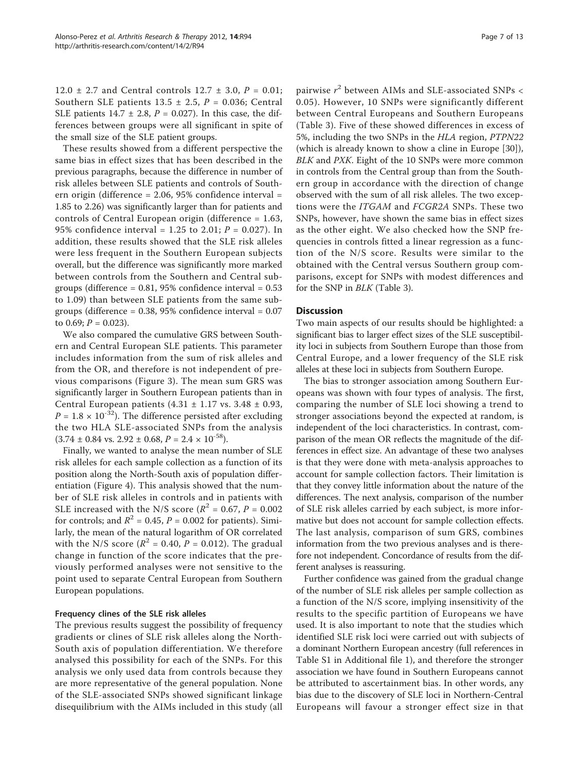12.0  $\pm$  2.7 and Central controls 12.7  $\pm$  3.0, P = 0.01; Southern SLE patients  $13.5 \pm 2.5$ ,  $P = 0.036$ ; Central SLE patients  $14.7 \pm 2.8$ ,  $P = 0.027$ ). In this case, the differences between groups were all significant in spite of the small size of the SLE patient groups.

These results showed from a different perspective the same bias in effect sizes that has been described in the previous paragraphs, because the difference in number of risk alleles between SLE patients and controls of Southern origin (difference = 2.06, 95% confidence interval = 1.85 to 2.26) was significantly larger than for patients and controls of Central European origin (difference = 1.63, 95% confidence interval = 1.25 to 2.01;  $P = 0.027$ ). In addition, these results showed that the SLE risk alleles were less frequent in the Southern European subjects overall, but the difference was significantly more marked between controls from the Southern and Central subgroups (difference =  $0.81$ , 95% confidence interval =  $0.53$ to 1.09) than between SLE patients from the same subgroups (difference = 0.38, 95% confidence interval = 0.07 to 0.69;  $P = 0.023$ ).

We also compared the cumulative GRS between Southern and Central European SLE patients. This parameter includes information from the sum of risk alleles and from the OR, and therefore is not independent of previous comparisons (Figure [3\)](#page-7-0). The mean sum GRS was significantly larger in Southern European patients than in Central European patients  $(4.31 \pm 1.17 \text{ vs. } 3.48 \pm 0.93,$  $P = 1.8 \times 10^{-32}$ ). The difference persisted after excluding the two HLA SLE-associated SNPs from the analysis  $(3.74 \pm 0.84 \text{ vs. } 2.92 \pm 0.68, P = 2.4 \times 10^{-58}).$ 

Finally, we wanted to analyse the mean number of SLE risk alleles for each sample collection as a function of its position along the North-South axis of population differentiation (Figure [4\)](#page-8-0). This analysis showed that the number of SLE risk alleles in controls and in patients with SLE increased with the N/S score ( $R^2 = 0.67$ ,  $P = 0.002$ ) for controls; and  $R^2 = 0.45$ ,  $P = 0.002$  for patients). Similarly, the mean of the natural logarithm of OR correlated with the N/S score ( $R^2$  = 0.40,  $P$  = 0.012). The gradual change in function of the score indicates that the previously performed analyses were not sensitive to the point used to separate Central European from Southern European populations.

#### Frequency clines of the SLE risk alleles

The previous results suggest the possibility of frequency gradients or clines of SLE risk alleles along the North-South axis of population differentiation. We therefore analysed this possibility for each of the SNPs. For this analysis we only used data from controls because they are more representative of the general population. None of the SLE-associated SNPs showed significant linkage disequilibrium with the AIMs included in this study (all

pairwise  $r^2$  between AIMs and SLE-associated SNPs < 0.05). However, 10 SNPs were significantly different between Central Europeans and Southern Europeans (Table [3](#page-9-0)). Five of these showed differences in excess of 5%, including the two SNPs in the HLA region, PTPN22 (which is already known to show a cline in Europe [[30\]](#page-11-0)), BLK and PXK. Eight of the 10 SNPs were more common in controls from the Central group than from the Southern group in accordance with the direction of change observed with the sum of all risk alleles. The two exceptions were the ITGAM and FCGR2A SNPs. These two SNPs, however, have shown the same bias in effect sizes as the other eight. We also checked how the SNP frequencies in controls fitted a linear regression as a function of the N/S score. Results were similar to the obtained with the Central versus Southern group comparisons, except for SNPs with modest differences and for the SNP in BLK (Table [3\)](#page-9-0).

## **Discussion**

Two main aspects of our results should be highlighted: a significant bias to larger effect sizes of the SLE susceptibility loci in subjects from Southern Europe than those from Central Europe, and a lower frequency of the SLE risk alleles at these loci in subjects from Southern Europe.

The bias to stronger association among Southern Europeans was shown with four types of analysis. The first, comparing the number of SLE loci showing a trend to stronger associations beyond the expected at random, is independent of the loci characteristics. In contrast, comparison of the mean OR reflects the magnitude of the differences in effect size. An advantage of these two analyses is that they were done with meta-analysis approaches to account for sample collection factors. Their limitation is that they convey little information about the nature of the differences. The next analysis, comparison of the number of SLE risk alleles carried by each subject, is more informative but does not account for sample collection effects. The last analysis, comparison of sum GRS, combines information from the two previous analyses and is therefore not independent. Concordance of results from the different analyses is reassuring.

Further confidence was gained from the gradual change of the number of SLE risk alleles per sample collection as a function of the N/S score, implying insensitivity of the results to the specific partition of Europeans we have used. It is also important to note that the studies which identified SLE risk loci were carried out with subjects of a dominant Northern European ancestry (full references in Table S1 in Additional file [1\)](#page-9-0), and therefore the stronger association we have found in Southern Europeans cannot be attributed to ascertainment bias. In other words, any bias due to the discovery of SLE loci in Northern-Central Europeans will favour a stronger effect size in that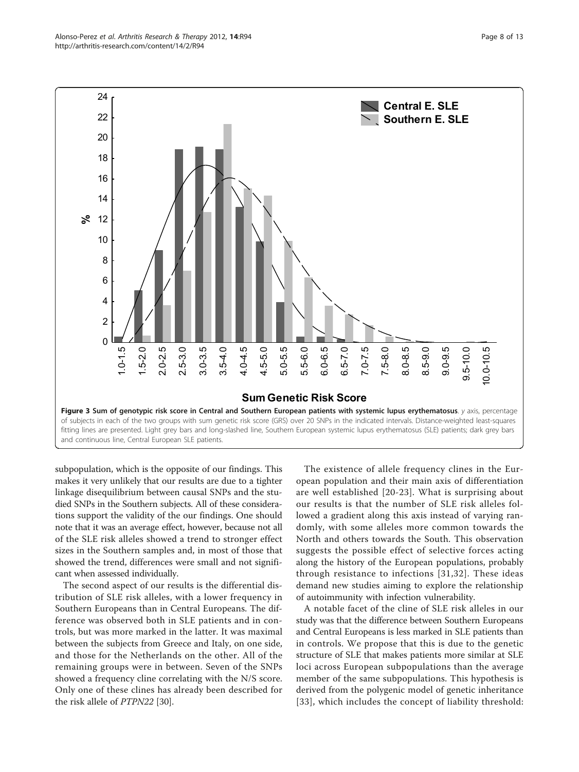<span id="page-7-0"></span>

subpopulation, which is the opposite of our findings. This makes it very unlikely that our results are due to a tighter linkage disequilibrium between causal SNPs and the studied SNPs in the Southern subjects. All of these considerations support the validity of the our findings. One should note that it was an average effect, however, because not all of the SLE risk alleles showed a trend to stronger effect sizes in the Southern samples and, in most of those that showed the trend, differences were small and not significant when assessed individually.

The second aspect of our results is the differential distribution of SLE risk alleles, with a lower frequency in Southern Europeans than in Central Europeans. The difference was observed both in SLE patients and in controls, but was more marked in the latter. It was maximal between the subjects from Greece and Italy, on one side, and those for the Netherlands on the other. All of the remaining groups were in between. Seven of the SNPs showed a frequency cline correlating with the N/S score. Only one of these clines has already been described for the risk allele of PTPN22 [[30\]](#page-11-0).

The existence of allele frequency clines in the European population and their main axis of differentiation are well established [[20-23\]](#page-11-0). What is surprising about our results is that the number of SLE risk alleles followed a gradient along this axis instead of varying randomly, with some alleles more common towards the North and others towards the South. This observation suggests the possible effect of selective forces acting along the history of the European populations, probably through resistance to infections [[31](#page-11-0),[32](#page-11-0)]. These ideas demand new studies aiming to explore the relationship of autoimmunity with infection vulnerability.

A notable facet of the cline of SLE risk alleles in our study was that the difference between Southern Europeans and Central Europeans is less marked in SLE patients than in controls. We propose that this is due to the genetic structure of SLE that makes patients more similar at SLE loci across European subpopulations than the average member of the same subpopulations. This hypothesis is derived from the polygenic model of genetic inheritance [[33](#page-11-0)], which includes the concept of liability threshold: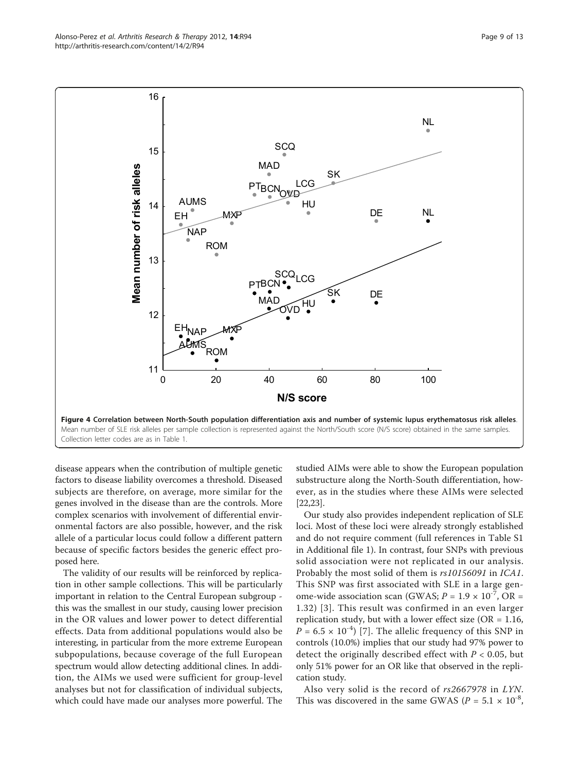disease appears when the contribution of multiple genetic factors to disease liability overcomes a threshold. Diseased subjects are therefore, on average, more similar for the genes involved in the disease than are the controls. More complex scenarios with involvement of differential environmental factors are also possible, however, and the risk allele of a particular locus could follow a different pattern because of specific factors besides the generic effect proposed here.

The validity of our results will be reinforced by replication in other sample collections. This will be particularly important in relation to the Central European subgroup this was the smallest in our study, causing lower precision in the OR values and lower power to detect differential effects. Data from additional populations would also be interesting, in particular from the more extreme European subpopulations, because coverage of the full European spectrum would allow detecting additional clines. In addition, the AIMs we used were sufficient for group-level analyses but not for classification of individual subjects, which could have made our analyses more powerful. The studied AIMs were able to show the European population substructure along the North-South differentiation, however, as in the studies where these AIMs were selected [[22,23\]](#page-11-0).

Our study also provides independent replication of SLE loci. Most of these loci were already strongly established and do not require comment (full references in Table S1 in Additional file [1](#page-9-0)). In contrast, four SNPs with previous solid association were not replicated in our analysis. Probably the most solid of them is rs10156091 in ICA1. This SNP was first associated with SLE in a large genome-wide association scan (GWAS;  $P = 1.9 \times 10^{-7}$ , OR = 1.32) [[3](#page-10-0)]. This result was confirmed in an even larger replication study, but with a lower effect size ( $OR = 1.16$ ,  $P = 6.5 \times 10^{-4}$  [\[7](#page-10-0)]. The allelic frequency of this SNP in controls (10.0%) implies that our study had 97% power to detect the originally described effect with  $P < 0.05$ , but only 51% power for an OR like that observed in the replication study.

Also very solid is the record of rs2667978 in LYN. This was discovered in the same GWAS ( $P = 5.1 \times 10^{-8}$ ,



<span id="page-8-0"></span>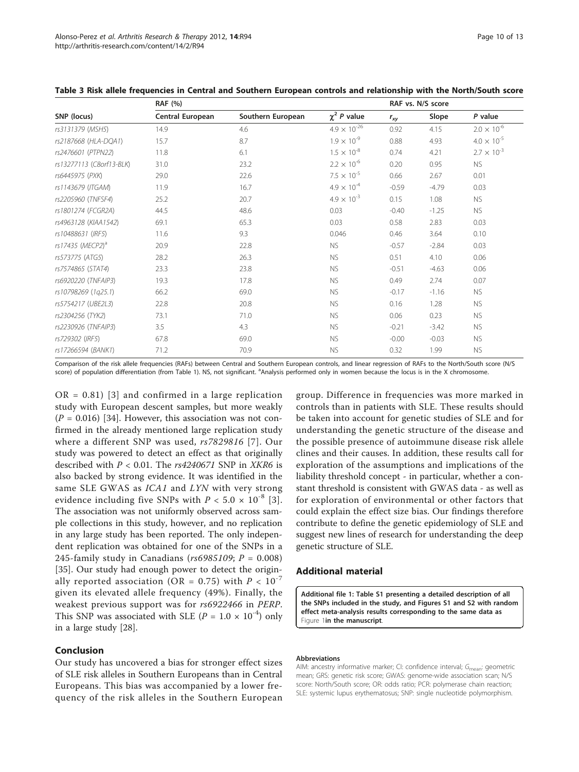|                              | <b>RAF</b> (%)   |                   |                       | RAF vs. N/S score |         |                      |
|------------------------------|------------------|-------------------|-----------------------|-------------------|---------|----------------------|
| SNP (locus)                  | Central European | Southern European | $\chi^2$ P value      | $r_{xy}$          | Slope   | P value              |
| rs3131379 (MSH5)             | 14.9             | 4.6               | $4.9 \times 10^{-26}$ | 0.92              | 4.15    | $2.0 \times 10^{-6}$ |
| rs2187668 (HLA-DQA1)         | 15.7             | 8.7               | $1.9 \times 10^{-9}$  | 0.88              | 4.93    | $4.0 \times 10^{-5}$ |
| rs2476601 (PTPN22)           | 11.8             | 6.1               | $1.5 \times 10^{-8}$  | 0.74              | 4.21    | $2.7 \times 10^{-3}$ |
| rs13277113 (C8orf13-BLK)     | 31.0             | 23.2              | $2.2 \times 10^{-6}$  | 0.20              | 0.95    | <b>NS</b>            |
| rs6445975 (PXK)              | 29.0             | 22.6              | $7.5 \times 10^{-5}$  | 0.66              | 2.67    | 0.01                 |
| rs1143679 (ITGAM)            | 11.9             | 16.7              | $4.9 \times 10^{-4}$  | $-0.59$           | $-4.79$ | 0.03                 |
| rs2205960 (TNFSF4)           | 25.2             | 20.7              | $4.9 \times 10^{-3}$  | 0.15              | 1.08    | <b>NS</b>            |
| rs1801274 (FCGR2A)           | 44.5             | 48.6              | 0.03                  | $-0.40$           | $-1.25$ | <b>NS</b>            |
| rs4963128 (KIAA1542)         | 69.1             | 65.3              | 0.03                  | 0.58              | 2.83    | 0.03                 |
| rs10488631 (IRF5)            | 11.6             | 9.3               | 0.046                 | 0.46              | 3.64    | 0.10                 |
| rs17435 (MECP2) <sup>a</sup> | 20.9             | 22.8              | <b>NS</b>             | $-0.57$           | $-2.84$ | 0.03                 |
| rs573775 (ATG5)              | 28.2             | 26.3              | <b>NS</b>             | 0.51              | 4.10    | 0.06                 |
| rs7574865 (STAT4)            | 23.3             | 23.8              | <b>NS</b>             | $-0.51$           | $-4.63$ | 0.06                 |
| rs6920220 (TNFAIP3)          | 19.3             | 17.8              | <b>NS</b>             | 0.49              | 2.74    | 0.07                 |
| rs10798269 (1q25.1)          | 66.2             | 69.0              | <b>NS</b>             | $-0.17$           | $-1.16$ | <b>NS</b>            |
| rs5754217 (UBE2L3)           | 22.8             | 20.8              | <b>NS</b>             | 0.16              | 1.28    | <b>NS</b>            |
| rs2304256 (TYK2)             | 73.1             | 71.0              | <b>NS</b>             | 0.06              | 0.23    | <b>NS</b>            |
| rs2230926 (TNFAIP3)          | 3.5              | 4.3               | <b>NS</b>             | $-0.21$           | $-3.42$ | <b>NS</b>            |
| rs729302 (IRF5)              | 67.8             | 69.0              | <b>NS</b>             | $-0.00$           | $-0.03$ | <b>NS</b>            |
| rs17266594 (BANK1)           | 71.2             | 70.9              | <b>NS</b>             | 0.32              | 1.99    | <b>NS</b>            |

<span id="page-9-0"></span>

Comparison of the risk allele frequencies (RAFs) between Central and Southern European controls, and linear regression of RAFs to the North/South score (N/S score) of population differentiation (from Table 1). NS, not significant. <sup>a</sup>Analysis performed only in women because the locus is in the X chromosome.

 $OR = 0.81$  [[3\]](#page-10-0) and confirmed in a large replication study with European descent samples, but more weakly  $(P = 0.016)$  [\[34](#page-11-0)]. However, this association was not confirmed in the already mentioned large replication study where a different SNP was used, rs7829816 [[7](#page-10-0)]. Our study was powered to detect an effect as that originally described with  $P < 0.01$ . The rs4240671 SNP in XKR6 is also backed by strong evidence. It was identified in the same SLE GWAS as *ICA1* and *LYN* with very strong evidence including five SNPs with  $P < 5.0 \times 10^{-8}$  [[3\]](#page-10-0). The association was not uniformly observed across sample collections in this study, however, and no replication in any large study has been reported. The only independent replication was obtained for one of the SNPs in a 245-family study in Canadians ( $rs6985109; P = 0.008$ ) [[35\]](#page-11-0). Our study had enough power to detect the originally reported association (OR = 0.75) with  $P < 10^{-7}$ given its elevated allele frequency (49%). Finally, the weakest previous support was for rs6922466 in PERP. This SNP was associated with SLE ( $P = 1.0 \times 10^{-4}$ ) only in a large study [[28](#page-11-0)].

# Conclusion

Our study has uncovered a bias for stronger effect sizes of SLE risk alleles in Southern Europeans than in Central Europeans. This bias was accompanied by a lower frequency of the risk alleles in the Southern European

group. Difference in frequencies was more marked in controls than in patients with SLE. These results should be taken into account for genetic studies of SLE and for understanding the genetic structure of the disease and the possible presence of autoimmune disease risk allele clines and their causes. In addition, these results call for exploration of the assumptions and implications of the liability threshold concept - in particular, whether a constant threshold is consistent with GWAS data - as well as for exploration of environmental or other factors that could explain the effect size bias. Our findings therefore contribute to define the genetic epidemiology of SLE and suggest new lines of research for understanding the deep genetic structure of SLE.

#### Additional material

[Additional file 1: T](http://www.biomedcentral.com/content/supplementary/ar3818-S1.DOC)able S1 presenting a detailed description of all the SNPs included in the study, and Figures S1 and S2 with random effect meta-analysis results corresponding to the same data as Figure [1](#page-4-0)in the manuscript.

#### Abbreviations

AIM: ancestry informative marker; CI: confidence interval; G<sub>mean</sub>: geometric mean; GRS: genetic risk score; GWAS: genome-wide association scan; N/S score: North/South score; OR: odds ratio; PCR: polymerase chain reaction; SLE: systemic lupus erythematosus; SNP: single nucleotide polymorphism.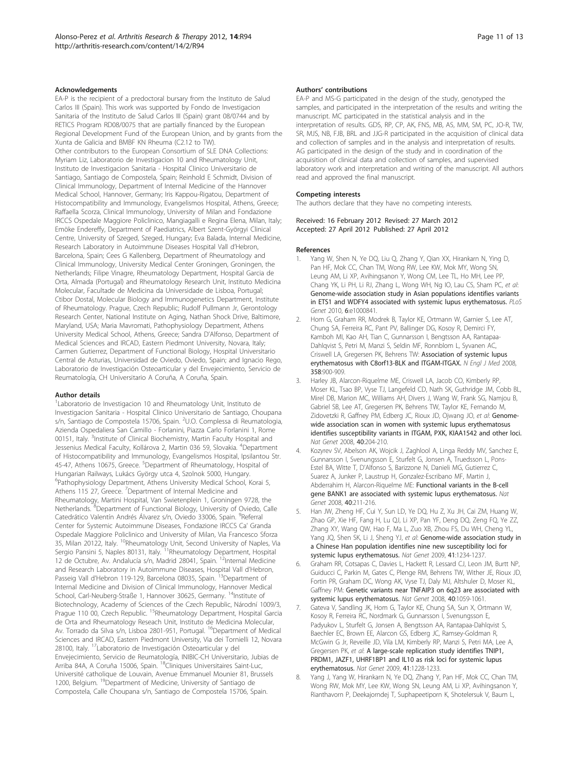#### <span id="page-10-0"></span>Acknowledgements

EA-P is the recipient of a predoctoral bursary from the Instituto de Salud Carlos III (Spain). This work was supported by Fondo de Investigacion Sanitaria of the Instituto de Salud Carlos III (Spain) grant 08/0744 and by RETICS Program RD08/0075 that are partially financed by the European Regional Development Fund of the European Union, and by grants from the Xunta de Galicia and BMBF KN Rheuma (C2.12 to TW). Other contributors to the European Consortium of SLE DNA Collections: Myriam Liz, Laboratorio de Investigacion 10 and Rheumatology Unit, Instituto de Investigacion Sanitaria - Hospital Clinico Universitario de Santiago, Santiago de Compostela, Spain; Reinhold E Schmidt, Division of Clinical Immunology, Department of Internal Medicine of the Hannover Medical School, Hannover, Germany; Iris Kappou-Rigatou, Department of Histocompatibility and Immunology, Evangelismos Hospital, Athens, Greece; Raffaella Scorza, Clinical Immunology, University of Milan and Fondazione IRCCS Ospedale Maggiore Policlinico, Mangiagalli e Regina Elena, Milan, Italy; Emöke Endereffy, Department of Paediatrics, Albert Szent-Györgyi Clinical Centre, University of Szeged, Szeged, Hungary; Eva Balada, Internal Medicine, Research Laboratory in Autoimmune Diseases Hospital Vall d'Hebron, Barcelona, Spain; Cees G Kallenberg, Department of Rheumatology and Clinical Immunology, University Medical Center Groningen, Groningen, the Netherlands; Filipe Vinagre, Rheumatology Department, Hospital Garcia de Orta, Almada (Portugal) and Rheumatology Research Unit, Instituto Medicina Molecular, Facultade de Medicina da Universidade de Lisboa, Portugal; Ctibor Dostal, Molecular Biology and Immunogenetics Department, Institute of Rheumatology. Prague, Czech Republic; Rudolf Pullmann Jr, Gerontology Research Center, National Institute on Aging, Nathan Shock Drive, Baltimore, Maryland, USA; Maria Mavromati, Pathophysiology Department, Athens University Medical School, Athens, Greece; Sandra D'Alfonso, Department of Medical Sciences and IRCAD, Eastern Piedmont University, Novara, Italy; Carmen Gutierrez, Department of Functional Biology, Hospital Universitario Central de Asturias, Universidad de Oviedo, Oviedo, Spain; and Ignacio Rego, Laboratorio de Investigación Osteoarticular y del Envejecimiento, Servicio de Reumatología, CH Universitario A Coruña, A Coruña, Spain.

#### Author details

<sup>1</sup> Laboratorio de Investigacion 10 and Rheumatology Unit, Instituto de Investigacion Sanitaria - Hospital Clinico Universitario de Santiago, Choupana s/n, Santiago de Compostela 15706, Spain. <sup>2</sup>U.O. Complessa di Reumatologia, Azienda Ospedaliera San Camillo - Forlanini, Piazza Carlo Forlanini 1, Rome 00151, Italy. <sup>3</sup>Institute of Clinical Biochemistry, Martin Faculty Hospital and Jessenius Medical Faculty, Kollárova 2, Martin 036 59, Slovakia. <sup>4</sup>Department of Histocompatibility and Immunology, Evangelismos Hospital, Ipsilantou Str. 45-47, Athens 10675, Greece. <sup>5</sup>Department of Rheumatology, Hospital of Hungarian Railways, Lukács György utca 4, Szolnok 5000, Hungary. 6 Pathophysiology Department, Athens University Medical School, Korai 5, Athens 115 27, Greece. <sup>7</sup>Department of Internal Medicine and Rheumatology, Martini Hospital, Van Swietenplein 1, Groningen 9728, the Netherlands. <sup>8</sup>Department of Functional Biology, University of Oviedo, Calle Catedrático Valentín Andrés Álvarez s/n, Oviedo 33006, Spain. <sup>9</sup>Referral Center for Systemic Autoimmune Diseases, Fondazione IRCCS Ca' Granda Ospedale Maggiore Policlinico and University of Milan, Via Francesco Sforza 35, Milan 20122, Italy. <sup>10</sup>Rheumatology Unit, Second University of Naples, Via Sergio Pansini 5, Naples 80131, Italy. <sup>11</sup>Rheumatology Department, Hospital 12 de Octubre, Av. Andalucía s/n, Madrid 28041, Spain. <sup>12</sup>Internal Medicine and Research Laboratory in Autoimmune Diseases, Hospital Vall d'Hebron, Passeig Vall d'Hebron 119-129, Barcelona 08035, Spain. 13Department of Internal Medicine and Division of Clinical Immunology, Hannover Medical School, Carl-Neuberg-Straße 1, Hannover 30625, Germany. <sup>14</sup>Institute of Biotechnology, Academy of Sciences of the Czech Republic, Národní 1009/3, Prague 110 00, Czech Republic. <sup>15</sup>Rheumatology Department, Hospital Garcia de Orta and Rheumatology Reseach Unit, Instituto de Medicina Molecular, Av. Torrado da Silva s/n, Lisboa 2801-951, Portugal. <sup>16</sup>Department of Medical Sciences and IRCAD, Eastern Piedmont University, Via dei Tornielli 12, Novara 28100, Italy. 17Laboratorio de Investigación Osteoarticular y del Envejecimiento, Servicio de Reumatología, INIBIC-CH Universitario, Jubias de Arriba 84A, A Coruña 15006, Spain. 18Cliniques Universitaires Saint-Luc, Université catholique de Louvain, Avenue Emmanuel Mounier 81, Brussels 1200. Belgium. <sup>19</sup>Department of Medicine, University of Santiago de Compostela, Calle Choupana s/n, Santiago de Compostela 15706, Spain.

#### Authors' contributions

EA-P and MS-G participated in the design of the study, genotyped the samples, and participated in the interpretation of the results and writing the manuscript. MC participated in the statistical analysis and in the interpretation of results. GDS, RP, CP, AK, FNS, MB, AS, MM, SM, PC, JO-R, TW, SR, MJS, NB, FJB, BRL and JJG-R participated in the acquisition of clinical data and collection of samples and in the analysis and interpretation of results. AG participated in the design of the study and in coordination of the acquisition of clinical data and collection of samples, and supervised laboratory work and interpretation and writing of the manuscript. All authors read and approved the final manuscript.

#### Competing interests

The authors declare that they have no competing interests.

#### Received: 16 February 2012 Revised: 27 March 2012 Accepted: 27 April 2012 Published: 27 April 2012

#### References

- 1. Yang W, Shen N, Ye DQ, Liu Q, Zhang Y, Qian XX, Hirankarn N, Ying D, Pan HF, Mok CC, Chan TM, Wong RW, Lee KW, Mok MY, Wong SN, Leung AM, Li XP, Avihingsanon Y, Wong CM, Lee TL, Ho MH, Lee PP, Chang YK, Li PH, Li RJ, Zhang L, Wong WH, Ng IO, Lau CS, Sham PC, et al: Genome-wide association study in Asian populations identifies variants in ETS1 and WDFY4 associated with systemic lupus erythematosus. PLoS Genet 2010, 6:e1000841.
- 2. Hom G, Graham RR, Modrek B, Taylor KE, Ortmann W, Garnier S, Lee AT, Chung SA, Ferreira RC, Pant PV, Ballinger DG, Kosoy R, Demirci FY, Kamboh MI, Kao AH, Tian C, Gunnarsson I, Bengtsson AA, Rantapaa-Dahlqvist S, Petri M, Manzi S, Seldin MF, Ronnblom L, Syvanen AC, Criswell LA, Gregersen PK, Behrens TW: Association of systemic lupus erythematosus with C8orf13-BLK and ITGAM-ITGAX. N Engl J Med 2008, 358:900-909.
- 3. Harley JB, Alarcon-Riquelme ME, Criswell LA, Jacob CO, Kimberly RP, Moser KL, Tsao BP, Vyse TJ, Langefeld CD, Nath SK, Guthridge JM, Cobb BL, Mirel DB, Marion MC, Williams AH, Divers J, Wang W, Frank SG, Namjou B, Gabriel SB, Lee AT, Gregersen PK, Behrens TW, Taylor KE, Fernando M, Zidovetzki R, Gaffney PM, Edberg JC, Rioux JD, Ojwang JO, et al: Genomewide association scan in women with systemic lupus erythematosus identifies susceptibility variants in ITGAM, PXK, KIAA1542 and other loci. Nat Genet 2008, 40:204-210.
- Kozyrev SV, Abelson AK, Wojcik J, Zaghlool A, Linga Reddy MV, Sanchez E, Gunnarsson I, Svenungsson E, Sturfelt G, Jonsen A, Truedsson L, Pons-Estel BA, Witte T, D'Alfonso S, Barizzone N, Danieli MG, Gutierrez C, Suarez A, Junker P, Laustrup H, Gonzalez-Escribano MF, Martin J, Abderrahim H, Alarcon-Riquelme ME: Functional variants in the B-cell gene BANK1 are associated with systemic lupus erythematosus. Nat Genet 2008, 40:211-216.
- 5. Han JW, Zheng HF, Cui Y, Sun LD, Ye DQ, Hu Z, Xu JH, Cai ZM, Huang W, Zhao GP, Xie HF, Fang H, Lu QJ, Li XP, Pan YF, Deng DQ, Zeng FQ, Ye ZZ, Zhang XY, Wang QW, Hao F, Ma L, Zuo XB, Zhou FS, Du WH, Cheng YL, Yang JQ, Shen SK, Li J, Sheng YJ, et al: Genome-wide association study in a Chinese Han population identifies nine new susceptibility loci for systemic lupus erythematosus. Nat Genet 2009, 41:1234-1237.
- 6. Graham RR, Cotsapas C, Davies L, Hackett R, Lessard CJ, Leon JM, Burtt NP, Guiducci C, Parkin M, Gates C, Plenge RM, Behrens TW, Wither JE, Rioux JD, Fortin PR, Graham DC, Wong AK, Vyse TJ, Daly MJ, Altshuler D, Moser KL, Gaffney PM: Genetic variants near TNFAIP3 on 6q23 are associated with systemic lupus erythematosus. Nat Genet 2008, 40:1059-1061.
- 7. Gateva V, Sandling JK, Hom G, Taylor KE, Chung SA, Sun X, Ortmann W, Kosoy R, Ferreira RC, Nordmark G, Gunnarsson I, Svenungsson E, Padyukov L, Sturfelt G, Jonsen A, Bengtsson AA, Rantapaa-Dahlqvist S, Baechler EC, Brown EE, Alarcon GS, Edberg JC, Ramsey-Goldman R, McGwin G Jr, Reveille JD, Vila LM, Kimberly RP, Manzi S, Petri MA, Lee A, Gregersen PK, et al: A large-scale replication study identifies TNIP1, PRDM1, JAZF1, UHRF1BP1 and IL10 as risk loci for systemic lupus erythematosus. Nat Genet 2009, 41:1228-1233.
- 8. Yang J, Yang W, Hirankarn N, Ye DQ, Zhang Y, Pan HF, Mok CC, Chan TM, Wong RW, Mok MY, Lee KW, Wong SN, Leung AM, Li XP, Avihingsanon Y, Rianthavorn P, Deekajorndej T, Suphapeetiporn K, Shotelersuk V, Baum L,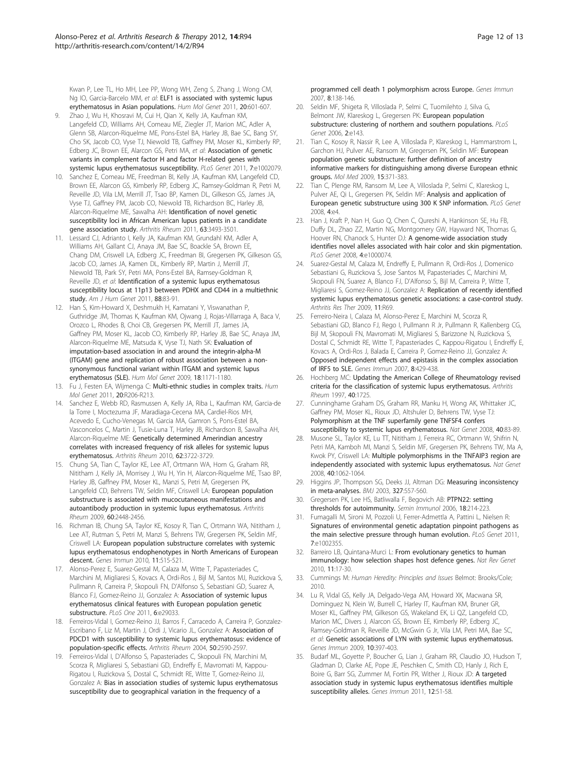<span id="page-11-0"></span>Kwan P, Lee TL, Ho MH, Lee PP, Wong WH, Zeng S, Zhang J, Wong CM, Ng IO, Garcia-Barcelo MM, et al: ELF1 is associated with systemic lupus erythematosus in Asian populations. Hum Mol Genet 2011, 20:601-607.

- Zhao J, Wu H, Khosravi M, Cui H, Qian X, Kelly JA, Kaufman KM, Langefeld CD, Williams AH, Comeau ME, Ziegler JT, Marion MC, Adler A, Glenn SB, Alarcon-Riquelme ME, Pons-Estel BA, Harley JB, Bae SC, Bang SY, Cho SK, Jacob CO, Vyse TJ, Niewold TB, Gaffney PM, Moser KL, Kimberly RP, Edberg JC, Brown EE, Alarcon GS, Petri MA, et al: Association of genetic variants in complement factor H and factor H-related genes with systemic lupus erythematosus susceptibility. PLoS Genet 2011, 7:e1002079.
- 10. Sanchez E, Comeau ME, Freedman BI, Kelly JA, Kaufman KM, Langefeld CD, Brown EE, Alarcon GS, Kimberly RP, Edberg JC, Ramsey-Goldman R, Petri M, Reveille JD, Vila LM, Merrill JT, Tsao BP, Kamen DL, Gilkeson GS, James JA, Vyse TJ, Gaffney PM, Jacob CO, Niewold TB, Richardson BC, Harley JB, Alarcon-Riquelme ME, Sawalha AH: Identification of novel genetic susceptibility loci in African American lupus patients in a candidate gene association study. Arthritis Rheum 2011, 63:3493-3501.
- 11. Lessard CJ, Adrianto I, Kelly JA, Kaufman KM, Grundahl KM, Adler A, Williams AH, Gallant CJ, Anaya JM, Bae SC, Boackle SA, Brown EE, Chang DM, Criswell LA, Edberg JC, Freedman BI, Gregersen PK, Gilkeson GS, Jacob CO, James JA, Kamen DL, Kimberly RP, Martin J, Merrill JT, Niewold TB, Park SY, Petri MA, Pons-Estel BA, Ramsey-Goldman R, Reveille JD, et al: Identification of a systemic lupus erythematosus susceptibility locus at 11p13 between PDHX and CD44 in a multiethnic study. Am J Hum Genet 2011, 88:83-91.
- 12. Han S, Kim-Howard X, Deshmukh H, Kamatani Y, Viswanathan P, Guthridge JM, Thomas K, Kaufman KM, Ojwang J, Rojas-Villarraga A, Baca V, Orozco L, Rhodes B, Choi CB, Gregersen PK, Merrill JT, James JA, Gaffney PM, Moser KL, Jacob CO, Kimberly RP, Harley JB, Bae SC, Anaya JM, Alarcon-Riquelme ME, Matsuda K, Vyse TJ, Nath SK: Evaluation of imputation-based association in and around the integrin-alpha-M (ITGAM) gene and replication of robust association between a nonsynonymous functional variant within ITGAM and systemic lupus erythematosus (SLE). Hum Mol Genet 2009, 18:1171-1180.
- 13. Fu J, Festen EA, Wijmenga C: Multi-ethnic studies in complex traits. Hum Mol Genet 2011, 20:R206-R213.
- 14. Sanchez E, Webb RD, Rasmussen A, Kelly JA, Riba L, Kaufman KM, Garcia-de la Torre I, Moctezuma JF, Maradiaga-Cecena MA, Cardiel-Rios MH, Acevedo E, Cucho-Venegas M, Garcia MA, Gamron S, Pons-Estel BA, Vasconcelos C, Martin J, Tusie-Luna T, Harley JB, Richardson B, Sawalha AH, Alarcon-Riquelme ME: Genetically determined Amerindian ancestry correlates with increased frequency of risk alleles for systemic lupus erythematosus. Arthritis Rheum 2010, 62:3722-3729.
- 15. Chung SA, Tian C, Taylor KE, Lee AT, Ortmann WA, Hom G, Graham RR, Nititham J, Kelly JA, Morrisey J, Wu H, Yin H, Alarcon-Riquelme ME, Tsao BP, Harley JB, Gaffney PM, Moser KL, Manzi S, Petri M, Gregersen PK, Langefeld CD, Behrens TW, Seldin MF, Criswell LA: European population substructure is associated with mucocutaneous manifestations and autoantibody production in systemic lupus erythematosus. Arthritis Rheum 2009, 60:2448-2456.
- 16. Richman IB, Chung SA, Taylor KE, Kosoy R, Tian C, Ortmann WA, Nititham J, Lee AT, Rutman S, Petri M, Manzi S, Behrens TW, Gregersen PK, Seldin MF, Criswell LA: European population substructure correlates with systemic lupus erythematosus endophenotypes in North Americans of European descent. Genes Immun 2010, 11:515-521.
- 17. Alonso-Perez E, Suarez-Gestal M, Calaza M, Witte T, Papasteriades C, Marchini M, Migliaresi S, Kovacs A, Ordi-Ros J, Bijl M, Santos MJ, Ruzickova S, Pullmann R, Carreira P, Skopouli FN, D'Alfonso S, Sebastiani GD, Suarez A, Blanco FJ, Gomez-Reino JJ, Gonzalez A: Association of systemic lupus erythematosus clinical features with European population genetic substructure. PLoS One 2011, 6:e29033.
- 18. Ferreiros-Vidal I, Gomez-Reino JJ, Barros F, Carracedo A, Carreira P, Gonzalez-Escribano F, Liz M, Martin J, Ordi J, Vicario JL, Gonzalez A: Association of PDCD1 with susceptibility to systemic lupus erythematosus: evidence of population-specific effects. Arthritis Rheum 2004, 50:2590-2597.
- 19. Ferreiros-Vidal I, D'Alfonso S, Papasteriades C, Skopouli FN, Marchini M, Scorza R, Migliaresi S, Sebastiani GD, Endreffy E, Mavromati M, Kappou-Rigatou I, Ruzickova S, Dostal C, Schmidt RE, Witte T, Gomez-Reino JJ, Gonzalez A: Bias in association studies of systemic lupus erythematosus susceptibility due to geographical variation in the frequency of a

programmed cell death 1 polymorphism across Europe. Genes Immun 2007, 8:138-146.

- 20. Seldin MF, Shigeta R, Villoslada P, Selmi C, Tuomilehto J, Silva G, Belmont JW, Klareskog L, Gregersen PK: European population substructure: clustering of northern and southern populations. PLoS Genet 2006, 2:e143.
- 21. Tian C, Kosoy R, Nassir R, Lee A, Villoslada P, Klareskog L, Hammarstrom L, Garchon HJ, Pulver AE, Ransom M, Gregersen PK, Seldin MF: European population genetic substructure: further definition of ancestry informative markers for distinguishing among diverse European ethnic groups. Mol Med 2009, 15:371-383.
- 22. Tian C, Plenge RM, Ransom M, Lee A, Villoslada P, Selmi C, Klareskog L, Pulver AE, Qi L, Gregersen PK, Seldin MF: Analysis and application of European genetic substructure using 300 K SNP information. PLoS Genet 2008, 4:e4.
- 23. Han J, Kraft P, Nan H, Guo Q, Chen C, Qureshi A, Hankinson SE, Hu FB, Duffy DL, Zhao ZZ, Martin NG, Montgomery GW, Hayward NK, Thomas G, Hoover RN, Chanock S, Hunter DJ: A genome-wide association study identifies novel alleles associated with hair color and skin pigmentation. PLoS Genet 2008, 4:e1000074.
- 24. Suarez-Gestal M, Calaza M, Endreffy E, Pullmann R, Ordi-Ros J, Domenico Sebastiani G, Ruzickova S, Jose Santos M, Papasteriades C, Marchini M, Skopouli FN, Suarez A, Blanco FJ, D'Alfonso S, Bijl M, Carreira P, Witte T, Migliaresi S, Gomez-Reino JJ, Gonzalez A: Replication of recently identified systemic lupus erythematosus genetic associations: a case-control study. Arthritis Res Ther 2009, 11:R69.
- 25. Ferreiro-Neira I, Calaza M, Alonso-Perez E, Marchini M, Scorza R, Sebastiani GD, Blanco FJ, Rego I, Pullmann R Jr, Pullmann R, Kallenberg CG, Bijl M, Skopouli FN, Mavromati M, Migliaresi S, Barizzone N, Ruzickova S, Dostal C, Schmidt RE, Witte T, Papasteriades C, Kappou-Rigatou I, Endreffy E, Kovacs A, Ordi-Ros J, Balada E, Carreira P, Gomez-Reino JJ, Gonzalez A: Opposed independent effects and epistasis in the complex association of IRF5 to SLE. Genes Immun 2007, 8:429-438.
- 26. Hochberg MC: Updating the American College of Rheumatology revised criteria for the classification of systemic lupus erythematosus. Arthritis Rheum 1997, 40:1725.
- 27. Cunninghame Graham DS, Graham RR, Manku H, Wong AK, Whittaker JC, Gaffney PM, Moser KL, Rioux JD, Altshuler D, Behrens TW, Vyse TJ: Polymorphism at the TNF superfamily gene TNFSF4 confers susceptibility to systemic lupus erythematosus. Nat Genet 2008, 40:83-89.
- 28. Musone SL, Taylor KE, Lu TT, Nititham J, Ferreira RC, Ortmann W, Shifrin N, Petri MA, Kamboh MI, Manzi S, Seldin MF, Gregersen PK, Behrens TW, Ma A, Kwok PY, Criswell LA: Multiple polymorphisms in the TNFAIP3 region are independently associated with systemic lupus erythematosus. Nat Genet 2008, 40:1062-1064.
- 29. Higgins JP, Thompson SG, Deeks JJ, Altman DG: Measuring inconsistency in meta-analyses. BMJ 2003, 327:557-560.
- 30. Gregersen PK, Lee HS, Batliwalla F, Begovich AB: PTPN22: setting thresholds for autoimmunity. Semin Immunol 2006, 18:214-223.
- 31. Fumagalli M, Sironi M, Pozzoli U, Ferrer-Admettla A, Pattini L, Nielsen R: Signatures of environmental genetic adaptation pinpoint pathogens as the main selective pressure through human evolution. PLoS Genet 2011, 7:e1002355.
- 32. Barreiro LB, Quintana-Murci L: From evolutionary genetics to human immunology: how selection shapes host defence genes. Nat Rev Genet 2010, 11:17-30.
- 33. Cummings M: Human Heredity: Principles and Issues Belmot: Brooks/Cole; 2010.
- 34. Lu R, Vidal GS, Kelly JA, Delgado-Vega AM, Howard XK, Macwana SR, Dominguez N, Klein W, Burrell C, Harley IT, Kaufman KM, Bruner GR, Moser KL, Gaffney PM, Gilkeson GS, Wakeland EK, Li QZ, Langefeld CD, Marion MC, Divers J, Alarcon GS, Brown EE, Kimberly RP, Edberg JC, Ramsey-Goldman R, Reveille JD, McGwin G Jr, Vila LM, Petri MA, Bae SC, et al: Genetic associations of LYN with systemic lupus erythematosus. Genes Immun 2009, 10:397-403.
- 35. Budarf ML, Goyette P, Boucher G, Lian J, Graham RR, Claudio JO, Hudson T, Gladman D, Clarke AE, Pope JE, Peschken C, Smith CD, Hanly J, Rich E, Boire G, Barr SG, Zummer M, Fortin PR, Wither J, Rioux JD: A targeted association study in systemic lupus erythematosus identifies multiple susceptibility alleles. Genes Immun 2011, 12:51-58.